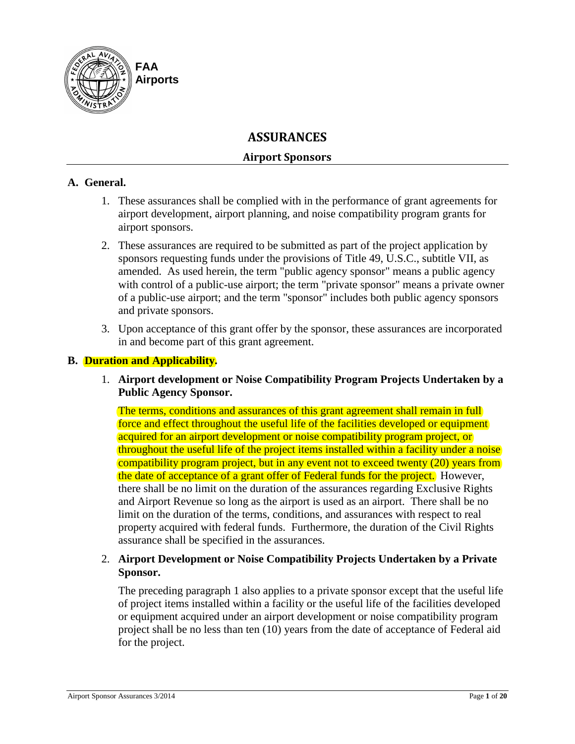

# **ASSURANCES**

# **Airport Sponsors**

### **A. General.**

- 1. These assurances shall be complied with in the performance of grant agreements for airport development, airport planning, and noise compatibility program grants for airport sponsors.
- 2. These assurances are required to be submitted as part of the project application by sponsors requesting funds under the provisions of Title 49, U.S.C., subtitle VII, as amended. As used herein, the term "public agency sponsor" means a public agency with control of a public-use airport; the term "private sponsor" means a private owner of a public-use airport; and the term "sponsor" includes both public agency sponsors and private sponsors.
- 3. Upon acceptance of this grant offer by the sponsor, these assurances are incorporated in and become part of this grant agreement.

# **B. Duration and Applicability.**

1. **Airport development or Noise Compatibility Program Projects Undertaken by a Public Agency Sponsor.** 

The terms, conditions and assurances of this grant agreement shall remain in full force and effect throughout the useful life of the facilities developed or equipment acquired for an airport development or noise compatibility program project, or throughout the useful life of the project items installed within a facility under a noise compatibility program project, but in any event not to exceed twenty (20) years from the date of acceptance of a grant offer of Federal funds for the project. However, there shall be no limit on the duration of the assurances regarding Exclusive Rights and Airport Revenue so long as the airport is used as an airport. There shall be no limit on the duration of the terms, conditions, and assurances with respect to real property acquired with federal funds. Furthermore, the duration of the Civil Rights assurance shall be specified in the assurances.

# 2. **Airport Development or Noise Compatibility Projects Undertaken by a Private Sponsor.**

The preceding paragraph 1 also applies to a private sponsor except that the useful life of project items installed within a facility or the useful life of the facilities developed or equipment acquired under an airport development or noise compatibility program project shall be no less than ten (10) years from the date of acceptance of Federal aid for the project.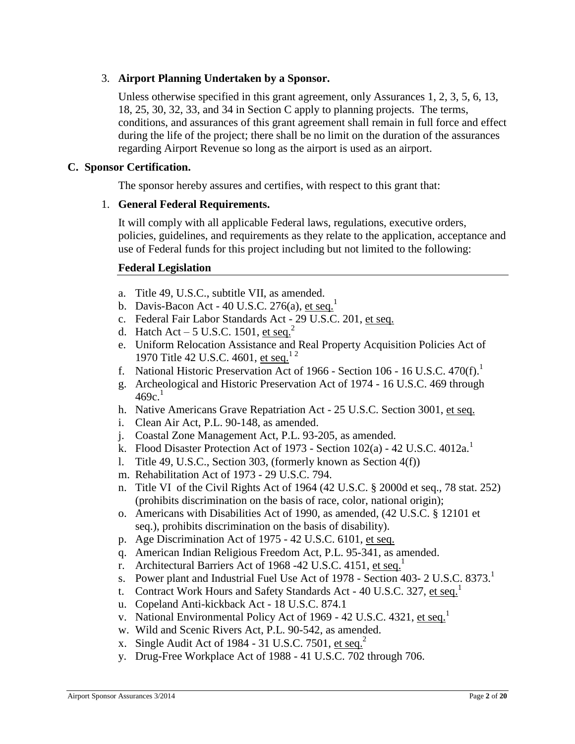# 3. **Airport Planning Undertaken by a Sponsor.**

Unless otherwise specified in this grant agreement, only Assurances 1, 2, 3, 5, 6, 13, 18, 25, 30, 32, 33, and 34 in Section C apply to planning projects. The terms, conditions, and assurances of this grant agreement shall remain in full force and effect during the life of the project; there shall be no limit on the duration of the assurances regarding Airport Revenue so long as the airport is used as an airport.

### **C. Sponsor Certification.**

The sponsor hereby assures and certifies, with respect to this grant that:

# 1. **General Federal Requirements.**

It will comply with all applicable Federal laws, regulations, executive orders, policies, guidelines, and requirements as they relate to the application, acceptance and use of Federal funds for this project including but not limited to the following:

# **Federal Legislation**

- a. Title 49, U.S.C., subtitle VII, as amended.
- b. Davis-Bacon Act 40 U.S.C. 276(a),  $et seq.<sup>1</sup>$ </u>
- c. Federal Fair Labor Standards Act 29 U.S.C. 201, et seq.
- d. Hatch Act 5 U.S.C. 1501, et seq.<sup>2</sup>
- e. Uniform Relocation Assistance and Real Property Acquisition Policies Act of 1970 Title 42 U.S.C. 4601, et seq.<sup>12</sup>
- f. National Historic Preservation Act of 1966 Section 106 16 U.S.C. 470(f).
- g. Archeological and Historic Preservation Act of 1974 16 U.S.C. 469 through  $469c.<sup>1</sup>$
- h. Native Americans Grave Repatriation Act 25 U.S.C. Section 3001, et seq.
- i. Clean Air Act, P.L. 90-148, as amended.
- j. Coastal Zone Management Act, P.L. 93-205, as amended.
- k. Flood Disaster Protection Act of 1973 Section  $102(a)$  42 U.S.C.  $4012a$ <sup>1</sup>
- l. Title 49, U.S.C., Section 303, (formerly known as Section 4(f))
- m. Rehabilitation Act of 1973 29 U.S.C. 794.
- n. Title VI of the Civil Rights Act of 1964 (42 U.S.C. § 2000d et seq., 78 stat. 252) (prohibits discrimination on the basis of race, color, national origin);
- o. Americans with Disabilities Act of 1990, as amended, (42 U.S.C. § 12101 et seq.), prohibits discrimination on the basis of disability).
- p. Age Discrimination Act of 1975 42 U.S.C. 6101, et seq.
- q. American Indian Religious Freedom Act, P.L. 95-341, as amended.
- r. Architectural Barriers Act of 1968 -42 U.S.C. 4151, et seq.<sup>1</sup>
- s. Power plant and Industrial Fuel Use Act of 1978 Section 403- 2 U.S.C. 8373.<sup>1</sup>
- t. Contract Work Hours and Safety Standards Act 40 U.S.C. 327, et seq.<sup>1</sup>
- u. Copeland Anti-kickback Act 18 U.S.C. 874.1
- v. National Environmental Policy Act of 1969 42 U.S.C. 4321, et seq.<sup>1</sup>
- w. Wild and Scenic Rivers Act, P.L. 90-542, as amended.
- x. Single Audit Act of 1984 31 U.S.C. 7501, et seq.<sup>2</sup>
- y. Drug-Free Workplace Act of 1988 41 U.S.C. 702 through 706.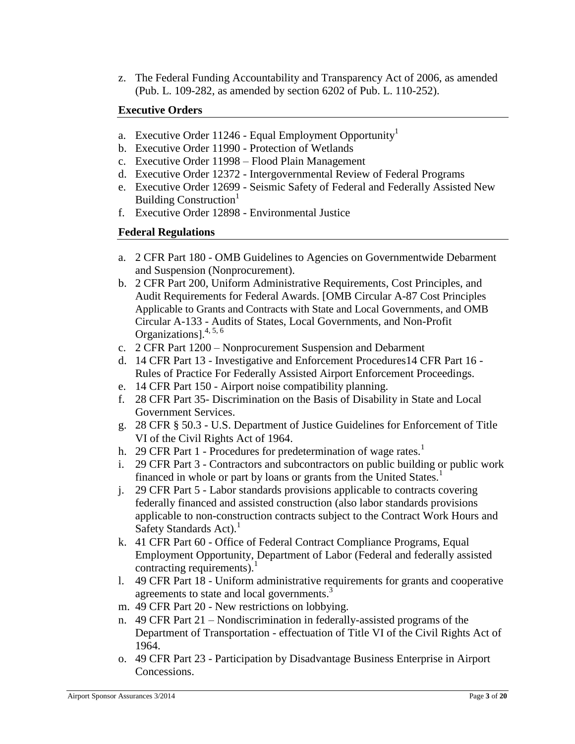z. The Federal Funding Accountability and Transparency Act of 2006, as amended (Pub. L. 109-282, as amended by section 6202 of Pub. L. 110-252).

# **Executive Orders**

- a. Executive Order 11246 Equal Employment Opportunity<sup>1</sup>
- b. Executive Order 11990 Protection of Wetlands
- c. Executive Order 11998 Flood Plain Management
- d. Executive Order 12372 Intergovernmental Review of Federal Programs
- e. Executive Order 12699 Seismic Safety of Federal and Federally Assisted New Building Construction<sup>1</sup>
- f. Executive Order 12898 Environmental Justice

# **Federal Regulations**

- a. 2 CFR Part 180 OMB Guidelines to Agencies on Governmentwide Debarment and Suspension (Nonprocurement).
- b. 2 CFR Part 200, Uniform Administrative Requirements, Cost Principles, and Audit Requirements for Federal Awards. [OMB Circular A-87 Cost Principles Applicable to Grants and Contracts with State and Local Governments, and OMB Circular A-133 - Audits of States, Local Governments, and Non-Profit Organizations].4, 5, 6
- c. 2 CFR Part 1200 Nonprocurement Suspension and Debarment
- d. 14 CFR Part 13 Investigative and Enforcement Procedures14 CFR Part 16 Rules of Practice For Federally Assisted Airport Enforcement Proceedings.
- e. 14 CFR Part 150 Airport noise compatibility planning.
- f. 28 CFR Part 35- Discrimination on the Basis of Disability in State and Local Government Services.
- g. 28 CFR § 50.3 U.S. Department of Justice Guidelines for Enforcement of Title VI of the Civil Rights Act of 1964.
- h. 29 CFR Part 1 Procedures for predetermination of wage rates.<sup>1</sup>
- i. 29 CFR Part 3 Contractors and subcontractors on public building or public work financed in whole or part by loans or grants from the United States.<sup>1</sup>
- j. 29 CFR Part 5 Labor standards provisions applicable to contracts covering federally financed and assisted construction (also labor standards provisions applicable to non-construction contracts subject to the Contract Work Hours and Safety Standards  $Act$ <sup>1</sup>
- k. 41 CFR Part 60 Office of Federal Contract Compliance Programs, Equal Employment Opportunity, Department of Labor (Federal and federally assisted contracting requirements). $1$
- l. 49 CFR Part 18 Uniform administrative requirements for grants and cooperative agreements to state and local governments.<sup>3</sup>
- m. 49 CFR Part 20 New restrictions on lobbying.
- n. 49 CFR Part 21 Nondiscrimination in federally-assisted programs of the Department of Transportation - effectuation of Title VI of the Civil Rights Act of 1964.
- o. 49 CFR Part 23 Participation by Disadvantage Business Enterprise in Airport Concessions.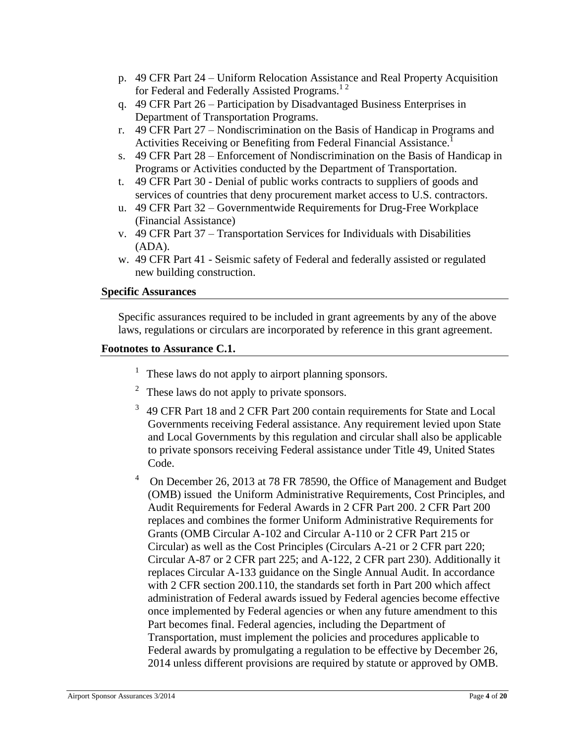- p. 49 CFR Part 24 Uniform Relocation Assistance and Real Property Acquisition for Federal and Federally Assisted Programs.<sup>12</sup>
- q. 49 CFR Part 26 Participation by Disadvantaged Business Enterprises in Department of Transportation Programs.
- r. 49 CFR Part 27 Nondiscrimination on the Basis of Handicap in Programs and Activities Receiving or Benefiting from Federal Financial Assistance.<sup>1</sup>
- s. 49 CFR Part 28 Enforcement of Nondiscrimination on the Basis of Handicap in Programs or Activities conducted by the Department of Transportation.
- t. 49 CFR Part 30 Denial of public works contracts to suppliers of goods and services of countries that deny procurement market access to U.S. contractors.
- u. 49 CFR Part 32 Governmentwide Requirements for Drug-Free Workplace (Financial Assistance)
- v. 49 CFR Part 37 Transportation Services for Individuals with Disabilities (ADA).
- w. 49 CFR Part 41 Seismic safety of Federal and federally assisted or regulated new building construction.

### **Specific Assurances**

Specific assurances required to be included in grant agreements by any of the above laws, regulations or circulars are incorporated by reference in this grant agreement.

### **Footnotes to Assurance C.1.**

- $<sup>1</sup>$  These laws do not apply to airport planning sponsors.</sup>
- 2 These laws do not apply to private sponsors.
- 3 49 CFR Part 18 and 2 CFR Part 200 contain requirements for State and Local Governments receiving Federal assistance. Any requirement levied upon State and Local Governments by this regulation and circular shall also be applicable to private sponsors receiving Federal assistance under Title 49, United States Code.
- <sup>4</sup> On December 26, 2013 at 78 FR 78590, the Office of Management and Budget (OMB) issued the Uniform Administrative Requirements, Cost Principles, and Audit Requirements for Federal Awards in 2 CFR Part 200. 2 CFR Part 200 replaces and combines the former Uniform Administrative Requirements for Grants (OMB Circular A-102 and Circular A-110 or 2 CFR Part 215 or Circular) as well as the Cost Principles (Circulars A-21 or 2 CFR part 220; Circular A-87 or 2 CFR part 225; and A-122, 2 CFR part 230). Additionally it replaces Circular A-133 guidance on the Single Annual Audit. In accordance with 2 CFR section 200.110, the standards set forth in Part 200 which affect administration of Federal awards issued by Federal agencies become effective once implemented by Federal agencies or when any future amendment to this Part becomes final. Federal agencies, including the Department of Transportation, must implement the policies and procedures applicable to Federal awards by promulgating a regulation to be effective by December 26, 2014 unless different provisions are required by statute or approved by OMB.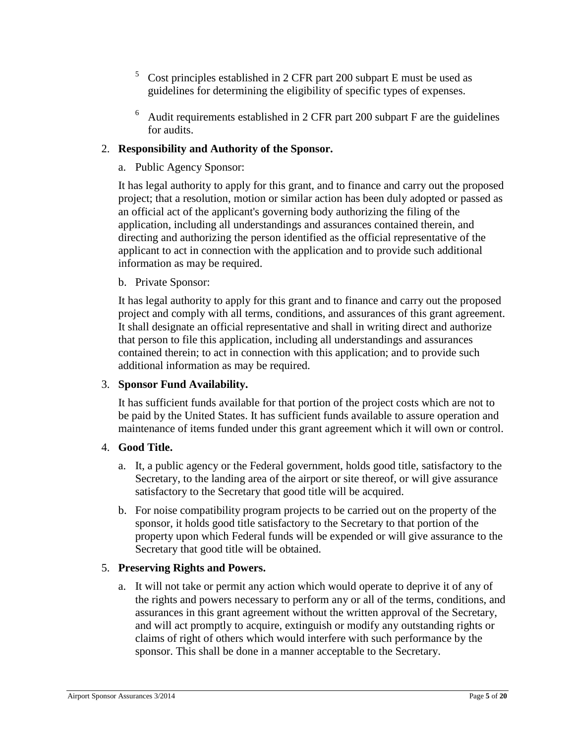- $5$  Cost principles established in 2 CFR part 200 subpart E must be used as guidelines for determining the eligibility of specific types of expenses.
- $6$  Audit requirements established in 2 CFR part 200 subpart F are the guidelines for audits.

# 2. **Responsibility and Authority of the Sponsor.**

a. Public Agency Sponsor:

It has legal authority to apply for this grant, and to finance and carry out the proposed project; that a resolution, motion or similar action has been duly adopted or passed as an official act of the applicant's governing body authorizing the filing of the application, including all understandings and assurances contained therein, and directing and authorizing the person identified as the official representative of the applicant to act in connection with the application and to provide such additional information as may be required.

### b. Private Sponsor:

It has legal authority to apply for this grant and to finance and carry out the proposed project and comply with all terms, conditions, and assurances of this grant agreement. It shall designate an official representative and shall in writing direct and authorize that person to file this application, including all understandings and assurances contained therein; to act in connection with this application; and to provide such additional information as may be required.

### 3. **Sponsor Fund Availability.**

It has sufficient funds available for that portion of the project costs which are not to be paid by the United States. It has sufficient funds available to assure operation and maintenance of items funded under this grant agreement which it will own or control.

### 4. **Good Title.**

- a. It, a public agency or the Federal government, holds good title, satisfactory to the Secretary, to the landing area of the airport or site thereof, or will give assurance satisfactory to the Secretary that good title will be acquired.
- b. For noise compatibility program projects to be carried out on the property of the sponsor, it holds good title satisfactory to the Secretary to that portion of the property upon which Federal funds will be expended or will give assurance to the Secretary that good title will be obtained.

# 5. **Preserving Rights and Powers.**

a. It will not take or permit any action which would operate to deprive it of any of the rights and powers necessary to perform any or all of the terms, conditions, and assurances in this grant agreement without the written approval of the Secretary, and will act promptly to acquire, extinguish or modify any outstanding rights or claims of right of others which would interfere with such performance by the sponsor. This shall be done in a manner acceptable to the Secretary.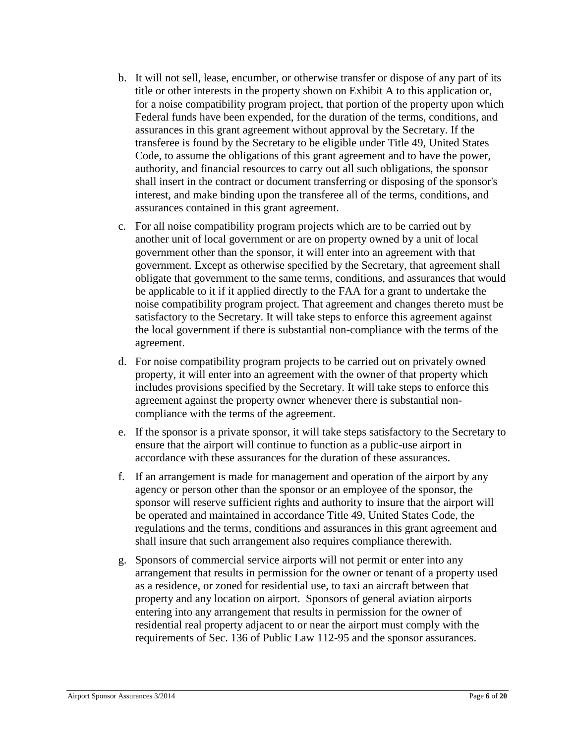- b. It will not sell, lease, encumber, or otherwise transfer or dispose of any part of its title or other interests in the property shown on Exhibit A to this application or, for a noise compatibility program project, that portion of the property upon which Federal funds have been expended, for the duration of the terms, conditions, and assurances in this grant agreement without approval by the Secretary. If the transferee is found by the Secretary to be eligible under Title 49, United States Code, to assume the obligations of this grant agreement and to have the power, authority, and financial resources to carry out all such obligations, the sponsor shall insert in the contract or document transferring or disposing of the sponsor's interest, and make binding upon the transferee all of the terms, conditions, and assurances contained in this grant agreement.
- c. For all noise compatibility program projects which are to be carried out by another unit of local government or are on property owned by a unit of local government other than the sponsor, it will enter into an agreement with that government. Except as otherwise specified by the Secretary, that agreement shall obligate that government to the same terms, conditions, and assurances that would be applicable to it if it applied directly to the FAA for a grant to undertake the noise compatibility program project. That agreement and changes thereto must be satisfactory to the Secretary. It will take steps to enforce this agreement against the local government if there is substantial non-compliance with the terms of the agreement.
- d. For noise compatibility program projects to be carried out on privately owned property, it will enter into an agreement with the owner of that property which includes provisions specified by the Secretary. It will take steps to enforce this agreement against the property owner whenever there is substantial noncompliance with the terms of the agreement.
- e. If the sponsor is a private sponsor, it will take steps satisfactory to the Secretary to ensure that the airport will continue to function as a public-use airport in accordance with these assurances for the duration of these assurances.
- f. If an arrangement is made for management and operation of the airport by any agency or person other than the sponsor or an employee of the sponsor, the sponsor will reserve sufficient rights and authority to insure that the airport will be operated and maintained in accordance Title 49, United States Code, the regulations and the terms, conditions and assurances in this grant agreement and shall insure that such arrangement also requires compliance therewith.
- g. Sponsors of commercial service airports will not permit or enter into any arrangement that results in permission for the owner or tenant of a property used as a residence, or zoned for residential use, to taxi an aircraft between that property and any location on airport. Sponsors of general aviation airports entering into any arrangement that results in permission for the owner of residential real property adjacent to or near the airport must comply with the requirements of Sec. 136 of Public Law 112-95 and the sponsor assurances.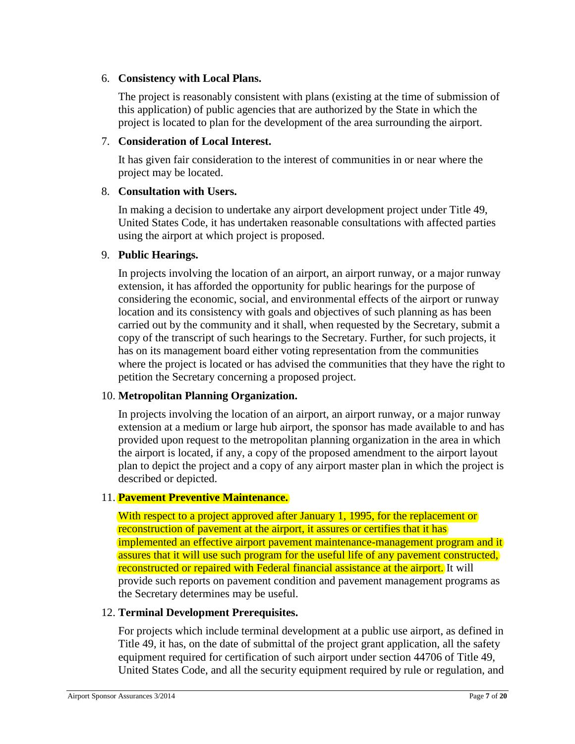# 6. **Consistency with Local Plans.**

The project is reasonably consistent with plans (existing at the time of submission of this application) of public agencies that are authorized by the State in which the project is located to plan for the development of the area surrounding the airport.

# 7. **Consideration of Local Interest.**

It has given fair consideration to the interest of communities in or near where the project may be located.

# 8. **Consultation with Users.**

In making a decision to undertake any airport development project under Title 49, United States Code, it has undertaken reasonable consultations with affected parties using the airport at which project is proposed.

# 9. **Public Hearings.**

In projects involving the location of an airport, an airport runway, or a major runway extension, it has afforded the opportunity for public hearings for the purpose of considering the economic, social, and environmental effects of the airport or runway location and its consistency with goals and objectives of such planning as has been carried out by the community and it shall, when requested by the Secretary, submit a copy of the transcript of such hearings to the Secretary. Further, for such projects, it has on its management board either voting representation from the communities where the project is located or has advised the communities that they have the right to petition the Secretary concerning a proposed project.

# 10. **Metropolitan Planning Organization.**

In projects involving the location of an airport, an airport runway, or a major runway extension at a medium or large hub airport, the sponsor has made available to and has provided upon request to the metropolitan planning organization in the area in which the airport is located, if any, a copy of the proposed amendment to the airport layout plan to depict the project and a copy of any airport master plan in which the project is described or depicted.

### 11. **Pavement Preventive Maintenance.**

With respect to a project approved after January 1, 1995, for the replacement or reconstruction of pavement at the airport, it assures or certifies that it has implemented an effective airport pavement maintenance-management program and it assures that it will use such program for the useful life of any pavement constructed, reconstructed or repaired with Federal financial assistance at the airport. It will provide such reports on pavement condition and pavement management programs as the Secretary determines may be useful.

### 12. **Terminal Development Prerequisites.**

For projects which include terminal development at a public use airport, as defined in Title 49, it has, on the date of submittal of the project grant application, all the safety equipment required for certification of such airport under section 44706 of Title 49, United States Code, and all the security equipment required by rule or regulation, and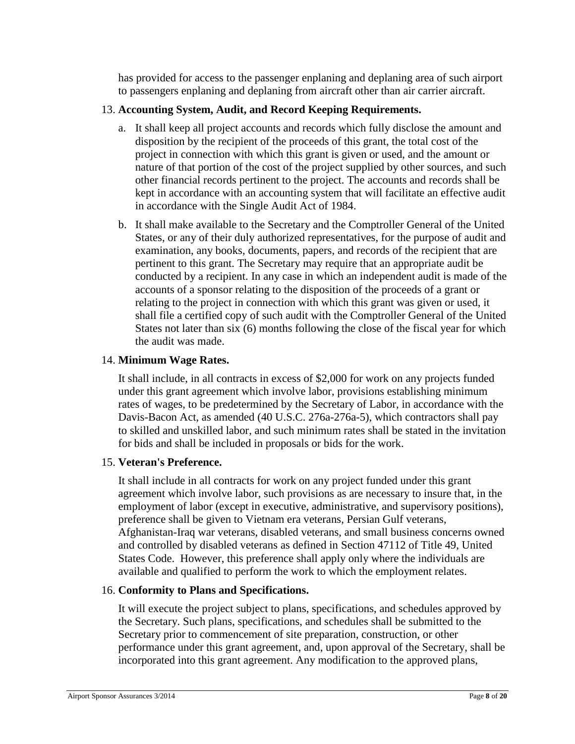has provided for access to the passenger enplaning and deplaning area of such airport to passengers enplaning and deplaning from aircraft other than air carrier aircraft.

# 13. **Accounting System, Audit, and Record Keeping Requirements.**

- a. It shall keep all project accounts and records which fully disclose the amount and disposition by the recipient of the proceeds of this grant, the total cost of the project in connection with which this grant is given or used, and the amount or nature of that portion of the cost of the project supplied by other sources, and such other financial records pertinent to the project. The accounts and records shall be kept in accordance with an accounting system that will facilitate an effective audit in accordance with the Single Audit Act of 1984.
- b. It shall make available to the Secretary and the Comptroller General of the United States, or any of their duly authorized representatives, for the purpose of audit and examination, any books, documents, papers, and records of the recipient that are pertinent to this grant. The Secretary may require that an appropriate audit be conducted by a recipient. In any case in which an independent audit is made of the accounts of a sponsor relating to the disposition of the proceeds of a grant or relating to the project in connection with which this grant was given or used, it shall file a certified copy of such audit with the Comptroller General of the United States not later than six (6) months following the close of the fiscal year for which the audit was made.

### 14. **Minimum Wage Rates.**

It shall include, in all contracts in excess of \$2,000 for work on any projects funded under this grant agreement which involve labor, provisions establishing minimum rates of wages, to be predetermined by the Secretary of Labor, in accordance with the Davis-Bacon Act, as amended (40 U.S.C. 276a-276a-5), which contractors shall pay to skilled and unskilled labor, and such minimum rates shall be stated in the invitation for bids and shall be included in proposals or bids for the work.

### 15. **Veteran's Preference.**

It shall include in all contracts for work on any project funded under this grant agreement which involve labor, such provisions as are necessary to insure that, in the employment of labor (except in executive, administrative, and supervisory positions), preference shall be given to Vietnam era veterans, Persian Gulf veterans, Afghanistan-Iraq war veterans, disabled veterans, and small business concerns owned and controlled by disabled veterans as defined in Section 47112 of Title 49, United States Code. However, this preference shall apply only where the individuals are available and qualified to perform the work to which the employment relates.

### 16. **Conformity to Plans and Specifications.**

It will execute the project subject to plans, specifications, and schedules approved by the Secretary. Such plans, specifications, and schedules shall be submitted to the Secretary prior to commencement of site preparation, construction, or other performance under this grant agreement, and, upon approval of the Secretary, shall be incorporated into this grant agreement. Any modification to the approved plans,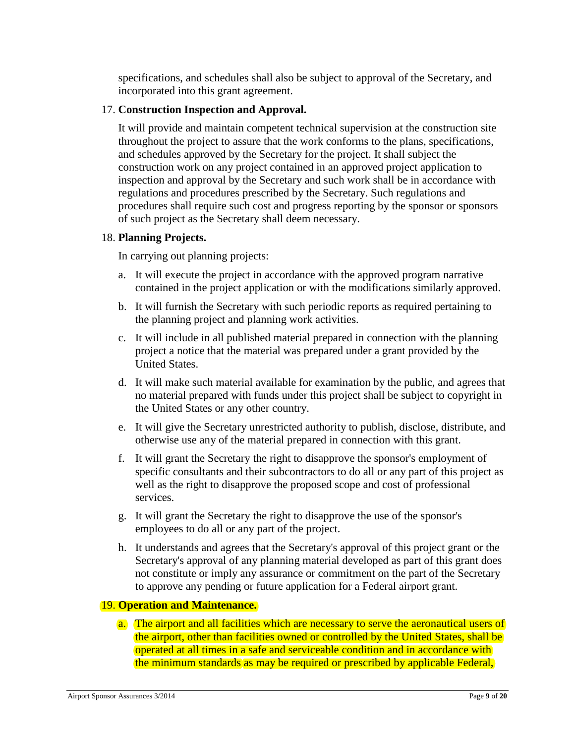specifications, and schedules shall also be subject to approval of the Secretary, and incorporated into this grant agreement.

#### 17. **Construction Inspection and Approval.**

It will provide and maintain competent technical supervision at the construction site throughout the project to assure that the work conforms to the plans, specifications, and schedules approved by the Secretary for the project. It shall subject the construction work on any project contained in an approved project application to inspection and approval by the Secretary and such work shall be in accordance with regulations and procedures prescribed by the Secretary. Such regulations and procedures shall require such cost and progress reporting by the sponsor or sponsors of such project as the Secretary shall deem necessary.

#### 18. **Planning Projects.**

In carrying out planning projects:

- a. It will execute the project in accordance with the approved program narrative contained in the project application or with the modifications similarly approved.
- b. It will furnish the Secretary with such periodic reports as required pertaining to the planning project and planning work activities.
- c. It will include in all published material prepared in connection with the planning project a notice that the material was prepared under a grant provided by the United States.
- d. It will make such material available for examination by the public, and agrees that no material prepared with funds under this project shall be subject to copyright in the United States or any other country.
- e. It will give the Secretary unrestricted authority to publish, disclose, distribute, and otherwise use any of the material prepared in connection with this grant.
- f. It will grant the Secretary the right to disapprove the sponsor's employment of specific consultants and their subcontractors to do all or any part of this project as well as the right to disapprove the proposed scope and cost of professional services.
- g. It will grant the Secretary the right to disapprove the use of the sponsor's employees to do all or any part of the project.
- h. It understands and agrees that the Secretary's approval of this project grant or the Secretary's approval of any planning material developed as part of this grant does not constitute or imply any assurance or commitment on the part of the Secretary to approve any pending or future application for a Federal airport grant.

### 19. **Operation and Maintenance.**

a. The airport and all facilities which are necessary to serve the aeronautical users of the airport, other than facilities owned or controlled by the United States, shall be operated at all times in a safe and serviceable condition and in accordance with the minimum standards as may be required or prescribed by applicable Federal,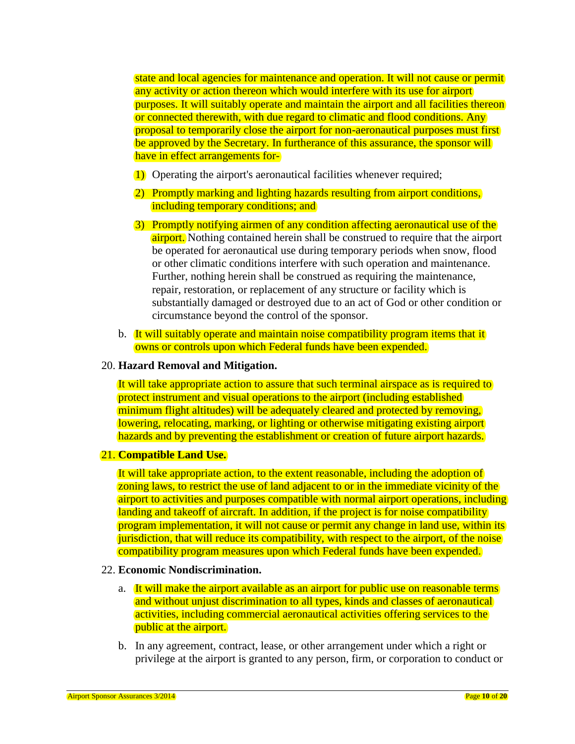state and local agencies for maintenance and operation. It will not cause or permit any activity or action thereon which would interfere with its use for airport purposes. It will suitably operate and maintain the airport and all facilities thereon or connected therewith, with due regard to climatic and flood conditions. Any proposal to temporarily close the airport for non-aeronautical purposes must first be approved by the Secretary. In furtherance of this assurance, the sponsor will have in effect arrangements for-

- 1) Operating the airport's aeronautical facilities whenever required;
- 2) Promptly marking and lighting hazards resulting from airport conditions, including temporary conditions; and
- 3) Promptly notifying airmen of any condition affecting aeronautical use of the airport. Nothing contained herein shall be construed to require that the airport be operated for aeronautical use during temporary periods when snow, flood or other climatic conditions interfere with such operation and maintenance. Further, nothing herein shall be construed as requiring the maintenance, repair, restoration, or replacement of any structure or facility which is substantially damaged or destroyed due to an act of God or other condition or circumstance beyond the control of the sponsor.
- b. It will suitably operate and maintain noise compatibility program items that it owns or controls upon which Federal funds have been expended.

#### 20. **Hazard Removal and Mitigation.**

It will take appropriate action to assure that such terminal airspace as is required to protect instrument and visual operations to the airport (including established minimum flight altitudes) will be adequately cleared and protected by removing, lowering, relocating, marking, or lighting or otherwise mitigating existing airport hazards and by preventing the establishment or creation of future airport hazards.

#### 21. **Compatible Land Use.**

It will take appropriate action, to the extent reasonable, including the adoption of zoning laws, to restrict the use of land adjacent to or in the immediate vicinity of the airport to activities and purposes compatible with normal airport operations, including landing and takeoff of aircraft. In addition, if the project is for noise compatibility program implementation, it will not cause or permit any change in land use, within its jurisdiction, that will reduce its compatibility, with respect to the airport, of the noise compatibility program measures upon which Federal funds have been expended.

#### 22. **Economic Nondiscrimination.**

- a. It will make the airport available as an airport for public use on reasonable terms and without unjust discrimination to all types, kinds and classes of aeronautical activities, including commercial aeronautical activities offering services to the public at the airport.
- b. In any agreement, contract, lease, or other arrangement under which a right or privilege at the airport is granted to any person, firm, or corporation to conduct or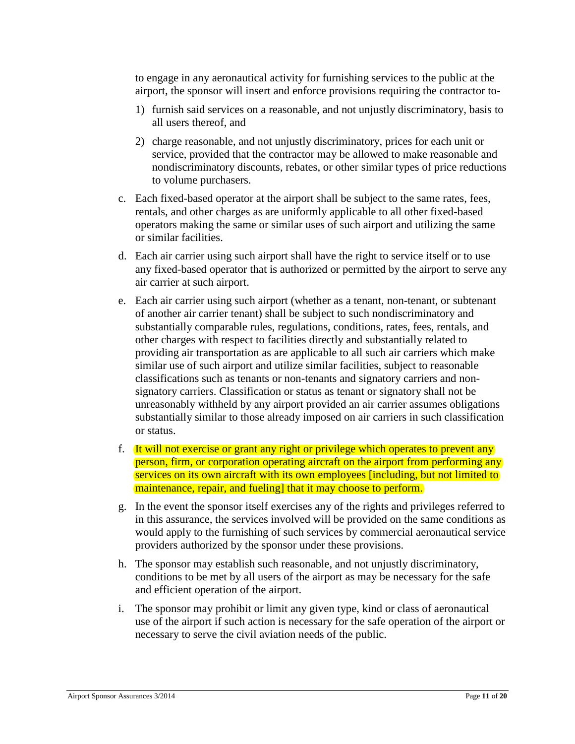to engage in any aeronautical activity for furnishing services to the public at the airport, the sponsor will insert and enforce provisions requiring the contractor to-

- 1) furnish said services on a reasonable, and not unjustly discriminatory, basis to all users thereof, and
- 2) charge reasonable, and not unjustly discriminatory, prices for each unit or service, provided that the contractor may be allowed to make reasonable and nondiscriminatory discounts, rebates, or other similar types of price reductions to volume purchasers.
- c. Each fixed-based operator at the airport shall be subject to the same rates, fees, rentals, and other charges as are uniformly applicable to all other fixed-based operators making the same or similar uses of such airport and utilizing the same or similar facilities.
- d. Each air carrier using such airport shall have the right to service itself or to use any fixed-based operator that is authorized or permitted by the airport to serve any air carrier at such airport.
- e. Each air carrier using such airport (whether as a tenant, non-tenant, or subtenant of another air carrier tenant) shall be subject to such nondiscriminatory and substantially comparable rules, regulations, conditions, rates, fees, rentals, and other charges with respect to facilities directly and substantially related to providing air transportation as are applicable to all such air carriers which make similar use of such airport and utilize similar facilities, subject to reasonable classifications such as tenants or non-tenants and signatory carriers and nonsignatory carriers. Classification or status as tenant or signatory shall not be unreasonably withheld by any airport provided an air carrier assumes obligations substantially similar to those already imposed on air carriers in such classification or status.
- f. It will not exercise or grant any right or privilege which operates to prevent any person, firm, or corporation operating aircraft on the airport from performing any services on its own aircraft with its own employees [including, but not limited to maintenance, repair, and fueling] that it may choose to perform.
- g. In the event the sponsor itself exercises any of the rights and privileges referred to in this assurance, the services involved will be provided on the same conditions as would apply to the furnishing of such services by commercial aeronautical service providers authorized by the sponsor under these provisions.
- h. The sponsor may establish such reasonable, and not unjustly discriminatory, conditions to be met by all users of the airport as may be necessary for the safe and efficient operation of the airport.
- i. The sponsor may prohibit or limit any given type, kind or class of aeronautical use of the airport if such action is necessary for the safe operation of the airport or necessary to serve the civil aviation needs of the public.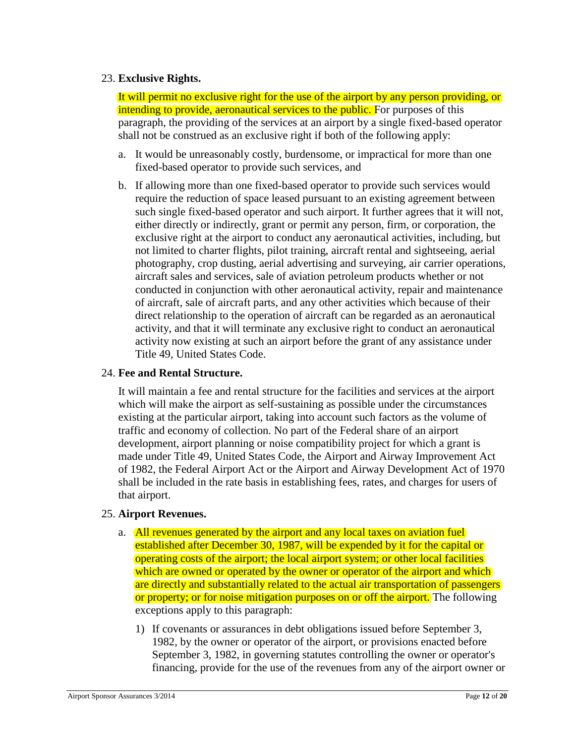# 23. **Exclusive Rights.**

It will permit no exclusive right for the use of the airport by any person providing, or intending to provide, aeronautical services to the public. For purposes of this paragraph, the providing of the services at an airport by a single fixed-based operator shall not be construed as an exclusive right if both of the following apply:

- a. It would be unreasonably costly, burdensome, or impractical for more than one fixed-based operator to provide such services, and
- b. If allowing more than one fixed-based operator to provide such services would require the reduction of space leased pursuant to an existing agreement between such single fixed-based operator and such airport. It further agrees that it will not, either directly or indirectly, grant or permit any person, firm, or corporation, the exclusive right at the airport to conduct any aeronautical activities, including, but not limited to charter flights, pilot training, aircraft rental and sightseeing, aerial photography, crop dusting, aerial advertising and surveying, air carrier operations, aircraft sales and services, sale of aviation petroleum products whether or not conducted in conjunction with other aeronautical activity, repair and maintenance of aircraft, sale of aircraft parts, and any other activities which because of their direct relationship to the operation of aircraft can be regarded as an aeronautical activity, and that it will terminate any exclusive right to conduct an aeronautical activity now existing at such an airport before the grant of any assistance under Title 49, United States Code.

### 24. **Fee and Rental Structure.**

It will maintain a fee and rental structure for the facilities and services at the airport which will make the airport as self-sustaining as possible under the circumstances existing at the particular airport, taking into account such factors as the volume of traffic and economy of collection. No part of the Federal share of an airport development, airport planning or noise compatibility project for which a grant is made under Title 49, United States Code, the Airport and Airway Improvement Act of 1982, the Federal Airport Act or the Airport and Airway Development Act of 1970 shall be included in the rate basis in establishing fees, rates, and charges for users of that airport.

### 25. **Airport Revenues.**

- a. All revenues generated by the airport and any local taxes on aviation fuel established after December 30, 1987, will be expended by it for the capital or operating costs of the airport; the local airport system; or other local facilities which are owned or operated by the owner or operator of the airport and which are directly and substantially related to the actual air transportation of passengers or property; or for noise mitigation purposes on or off the airport. The following exceptions apply to this paragraph:
	- 1) If covenants or assurances in debt obligations issued before September 3, 1982, by the owner or operator of the airport, or provisions enacted before September 3, 1982, in governing statutes controlling the owner or operator's financing, provide for the use of the revenues from any of the airport owner or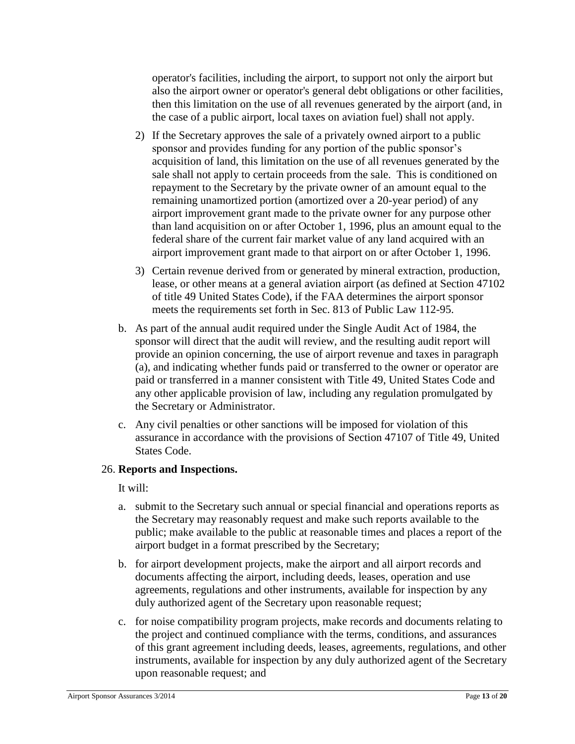operator's facilities, including the airport, to support not only the airport but also the airport owner or operator's general debt obligations or other facilities, then this limitation on the use of all revenues generated by the airport (and, in the case of a public airport, local taxes on aviation fuel) shall not apply.

- 2) If the Secretary approves the sale of a privately owned airport to a public sponsor and provides funding for any portion of the public sponsor's acquisition of land, this limitation on the use of all revenues generated by the sale shall not apply to certain proceeds from the sale. This is conditioned on repayment to the Secretary by the private owner of an amount equal to the remaining unamortized portion (amortized over a 20-year period) of any airport improvement grant made to the private owner for any purpose other than land acquisition on or after October 1, 1996, plus an amount equal to the federal share of the current fair market value of any land acquired with an airport improvement grant made to that airport on or after October 1, 1996.
- 3) Certain revenue derived from or generated by mineral extraction, production, lease, or other means at a general aviation airport (as defined at Section 47102 of title 49 United States Code), if the FAA determines the airport sponsor meets the requirements set forth in Sec. 813 of Public Law 112-95.
- b. As part of the annual audit required under the Single Audit Act of 1984, the sponsor will direct that the audit will review, and the resulting audit report will provide an opinion concerning, the use of airport revenue and taxes in paragraph (a), and indicating whether funds paid or transferred to the owner or operator are paid or transferred in a manner consistent with Title 49, United States Code and any other applicable provision of law, including any regulation promulgated by the Secretary or Administrator.
- c. Any civil penalties or other sanctions will be imposed for violation of this assurance in accordance with the provisions of Section 47107 of Title 49, United States Code.

### 26. **Reports and Inspections.**

It will:

- a. submit to the Secretary such annual or special financial and operations reports as the Secretary may reasonably request and make such reports available to the public; make available to the public at reasonable times and places a report of the airport budget in a format prescribed by the Secretary;
- b. for airport development projects, make the airport and all airport records and documents affecting the airport, including deeds, leases, operation and use agreements, regulations and other instruments, available for inspection by any duly authorized agent of the Secretary upon reasonable request;
- c. for noise compatibility program projects, make records and documents relating to the project and continued compliance with the terms, conditions, and assurances of this grant agreement including deeds, leases, agreements, regulations, and other instruments, available for inspection by any duly authorized agent of the Secretary upon reasonable request; and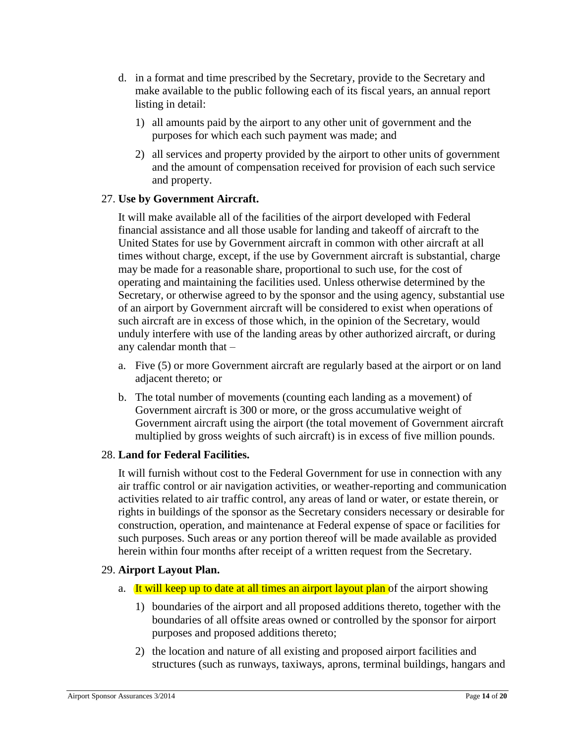- d. in a format and time prescribed by the Secretary, provide to the Secretary and make available to the public following each of its fiscal years, an annual report listing in detail:
	- 1) all amounts paid by the airport to any other unit of government and the purposes for which each such payment was made; and
	- 2) all services and property provided by the airport to other units of government and the amount of compensation received for provision of each such service and property.

# 27. **Use by Government Aircraft.**

It will make available all of the facilities of the airport developed with Federal financial assistance and all those usable for landing and takeoff of aircraft to the United States for use by Government aircraft in common with other aircraft at all times without charge, except, if the use by Government aircraft is substantial, charge may be made for a reasonable share, proportional to such use, for the cost of operating and maintaining the facilities used. Unless otherwise determined by the Secretary, or otherwise agreed to by the sponsor and the using agency, substantial use of an airport by Government aircraft will be considered to exist when operations of such aircraft are in excess of those which, in the opinion of the Secretary, would unduly interfere with use of the landing areas by other authorized aircraft, or during any calendar month that –

- a. Five (5) or more Government aircraft are regularly based at the airport or on land adjacent thereto; or
- b. The total number of movements (counting each landing as a movement) of Government aircraft is 300 or more, or the gross accumulative weight of Government aircraft using the airport (the total movement of Government aircraft multiplied by gross weights of such aircraft) is in excess of five million pounds.

# 28. **Land for Federal Facilities.**

It will furnish without cost to the Federal Government for use in connection with any air traffic control or air navigation activities, or weather-reporting and communication activities related to air traffic control, any areas of land or water, or estate therein, or rights in buildings of the sponsor as the Secretary considers necessary or desirable for construction, operation, and maintenance at Federal expense of space or facilities for such purposes. Such areas or any portion thereof will be made available as provided herein within four months after receipt of a written request from the Secretary.

### 29. **Airport Layout Plan.**

- a. It will keep up to date at all times an airport layout plan of the airport showing
	- 1) boundaries of the airport and all proposed additions thereto, together with the boundaries of all offsite areas owned or controlled by the sponsor for airport purposes and proposed additions thereto;
	- 2) the location and nature of all existing and proposed airport facilities and structures (such as runways, taxiways, aprons, terminal buildings, hangars and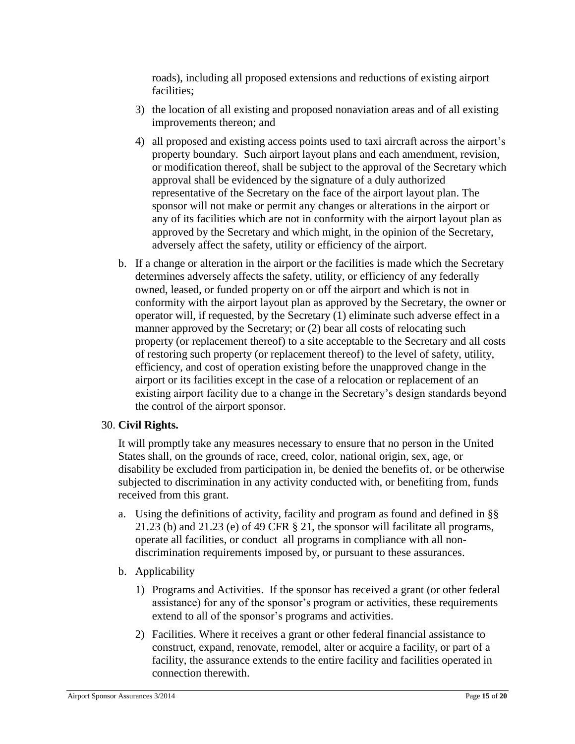roads), including all proposed extensions and reductions of existing airport facilities;

- 3) the location of all existing and proposed nonaviation areas and of all existing improvements thereon; and
- 4) all proposed and existing access points used to taxi aircraft across the airport's property boundary. Such airport layout plans and each amendment, revision, or modification thereof, shall be subject to the approval of the Secretary which approval shall be evidenced by the signature of a duly authorized representative of the Secretary on the face of the airport layout plan. The sponsor will not make or permit any changes or alterations in the airport or any of its facilities which are not in conformity with the airport layout plan as approved by the Secretary and which might, in the opinion of the Secretary, adversely affect the safety, utility or efficiency of the airport.
- b. If a change or alteration in the airport or the facilities is made which the Secretary determines adversely affects the safety, utility, or efficiency of any federally owned, leased, or funded property on or off the airport and which is not in conformity with the airport layout plan as approved by the Secretary, the owner or operator will, if requested, by the Secretary (1) eliminate such adverse effect in a manner approved by the Secretary; or (2) bear all costs of relocating such property (or replacement thereof) to a site acceptable to the Secretary and all costs of restoring such property (or replacement thereof) to the level of safety, utility, efficiency, and cost of operation existing before the unapproved change in the airport or its facilities except in the case of a relocation or replacement of an existing airport facility due to a change in the Secretary's design standards beyond the control of the airport sponsor.

### 30. **Civil Rights.**

It will promptly take any measures necessary to ensure that no person in the United States shall, on the grounds of race, creed, color, national origin, sex, age, or disability be excluded from participation in, be denied the benefits of, or be otherwise subjected to discrimination in any activity conducted with, or benefiting from, funds received from this grant.

- a. Using the definitions of activity, facility and program as found and defined in §§ 21.23 (b) and 21.23 (e) of 49 CFR § 21, the sponsor will facilitate all programs, operate all facilities, or conduct all programs in compliance with all nondiscrimination requirements imposed by, or pursuant to these assurances.
- b. Applicability
	- 1) Programs and Activities. If the sponsor has received a grant (or other federal assistance) for any of the sponsor's program or activities, these requirements extend to all of the sponsor's programs and activities.
	- 2) Facilities. Where it receives a grant or other federal financial assistance to construct, expand, renovate, remodel, alter or acquire a facility, or part of a facility, the assurance extends to the entire facility and facilities operated in connection therewith.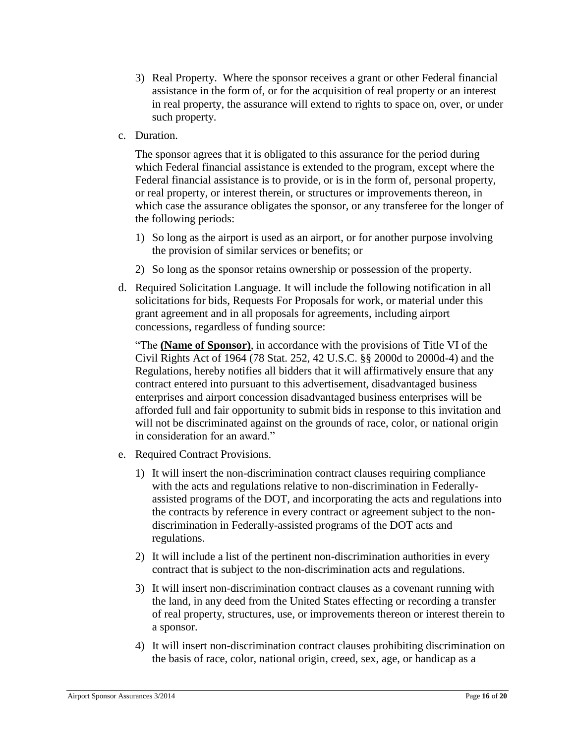- 3) Real Property. Where the sponsor receives a grant or other Federal financial assistance in the form of, or for the acquisition of real property or an interest in real property, the assurance will extend to rights to space on, over, or under such property.
- c. Duration.

The sponsor agrees that it is obligated to this assurance for the period during which Federal financial assistance is extended to the program, except where the Federal financial assistance is to provide, or is in the form of, personal property, or real property, or interest therein, or structures or improvements thereon, in which case the assurance obligates the sponsor, or any transferee for the longer of the following periods:

- 1) So long as the airport is used as an airport, or for another purpose involving the provision of similar services or benefits; or
- 2) So long as the sponsor retains ownership or possession of the property.
- d. Required Solicitation Language. It will include the following notification in all solicitations for bids, Requests For Proposals for work, or material under this grant agreement and in all proposals for agreements, including airport concessions, regardless of funding source:

"The **(Name of Sponsor)**, in accordance with the provisions of Title VI of the Civil Rights Act of 1964 (78 Stat. 252, 42 U.S.C. §§ 2000d to 2000d-4) and the Regulations, hereby notifies all bidders that it will affirmatively ensure that any contract entered into pursuant to this advertisement, disadvantaged business enterprises and airport concession disadvantaged business enterprises will be afforded full and fair opportunity to submit bids in response to this invitation and will not be discriminated against on the grounds of race, color, or national origin in consideration for an award."

- e. Required Contract Provisions.
	- 1) It will insert the non-discrimination contract clauses requiring compliance with the acts and regulations relative to non-discrimination in Federallyassisted programs of the DOT, and incorporating the acts and regulations into the contracts by reference in every contract or agreement subject to the nondiscrimination in Federally-assisted programs of the DOT acts and regulations.
	- 2) It will include a list of the pertinent non-discrimination authorities in every contract that is subject to the non-discrimination acts and regulations.
	- 3) It will insert non-discrimination contract clauses as a covenant running with the land, in any deed from the United States effecting or recording a transfer of real property, structures, use, or improvements thereon or interest therein to a sponsor.
	- 4) It will insert non-discrimination contract clauses prohibiting discrimination on the basis of race, color, national origin, creed, sex, age, or handicap as a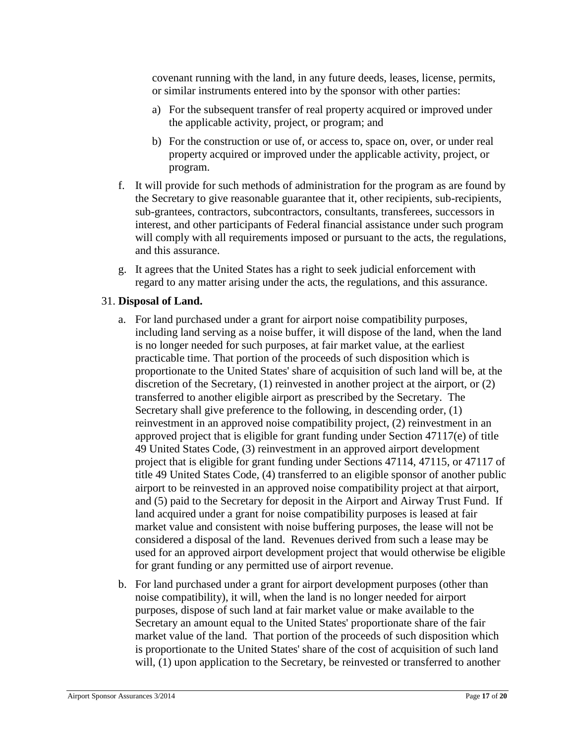covenant running with the land, in any future deeds, leases, license, permits, or similar instruments entered into by the sponsor with other parties:

- a) For the subsequent transfer of real property acquired or improved under the applicable activity, project, or program; and
- b) For the construction or use of, or access to, space on, over, or under real property acquired or improved under the applicable activity, project, or program.
- f. It will provide for such methods of administration for the program as are found by the Secretary to give reasonable guarantee that it, other recipients, sub-recipients, sub-grantees, contractors, subcontractors, consultants, transferees, successors in interest, and other participants of Federal financial assistance under such program will comply with all requirements imposed or pursuant to the acts, the regulations, and this assurance.
- g. It agrees that the United States has a right to seek judicial enforcement with regard to any matter arising under the acts, the regulations, and this assurance.

# 31. **Disposal of Land.**

- a. For land purchased under a grant for airport noise compatibility purposes, including land serving as a noise buffer, it will dispose of the land, when the land is no longer needed for such purposes, at fair market value, at the earliest practicable time. That portion of the proceeds of such disposition which is proportionate to the United States' share of acquisition of such land will be, at the discretion of the Secretary, (1) reinvested in another project at the airport, or (2) transferred to another eligible airport as prescribed by the Secretary. The Secretary shall give preference to the following, in descending order, (1) reinvestment in an approved noise compatibility project, (2) reinvestment in an approved project that is eligible for grant funding under Section 47117(e) of title 49 United States Code, (3) reinvestment in an approved airport development project that is eligible for grant funding under Sections 47114, 47115, or 47117 of title 49 United States Code, (4) transferred to an eligible sponsor of another public airport to be reinvested in an approved noise compatibility project at that airport, and (5) paid to the Secretary for deposit in the Airport and Airway Trust Fund. If land acquired under a grant for noise compatibility purposes is leased at fair market value and consistent with noise buffering purposes, the lease will not be considered a disposal of the land. Revenues derived from such a lease may be used for an approved airport development project that would otherwise be eligible for grant funding or any permitted use of airport revenue.
- b. For land purchased under a grant for airport development purposes (other than noise compatibility), it will, when the land is no longer needed for airport purposes, dispose of such land at fair market value or make available to the Secretary an amount equal to the United States' proportionate share of the fair market value of the land. That portion of the proceeds of such disposition which is proportionate to the United States' share of the cost of acquisition of such land will, (1) upon application to the Secretary, be reinvested or transferred to another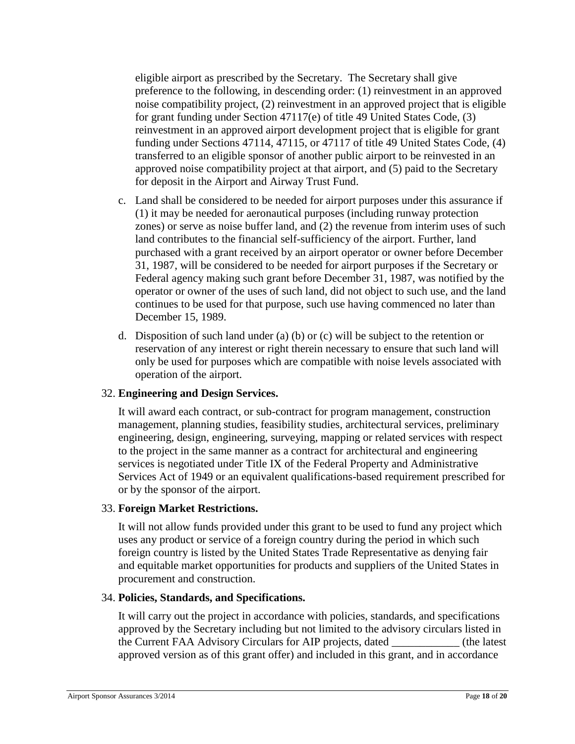eligible airport as prescribed by the Secretary. The Secretary shall give preference to the following, in descending order: (1) reinvestment in an approved noise compatibility project, (2) reinvestment in an approved project that is eligible for grant funding under Section 47117(e) of title 49 United States Code, (3) reinvestment in an approved airport development project that is eligible for grant funding under Sections 47114, 47115, or 47117 of title 49 United States Code, (4) transferred to an eligible sponsor of another public airport to be reinvested in an approved noise compatibility project at that airport, and (5) paid to the Secretary for deposit in the Airport and Airway Trust Fund.

- c. Land shall be considered to be needed for airport purposes under this assurance if (1) it may be needed for aeronautical purposes (including runway protection zones) or serve as noise buffer land, and (2) the revenue from interim uses of such land contributes to the financial self-sufficiency of the airport. Further, land purchased with a grant received by an airport operator or owner before December 31, 1987, will be considered to be needed for airport purposes if the Secretary or Federal agency making such grant before December 31, 1987, was notified by the operator or owner of the uses of such land, did not object to such use, and the land continues to be used for that purpose, such use having commenced no later than December 15, 1989.
- d. Disposition of such land under (a) (b) or (c) will be subject to the retention or reservation of any interest or right therein necessary to ensure that such land will only be used for purposes which are compatible with noise levels associated with operation of the airport.

### 32. **Engineering and Design Services.**

It will award each contract, or sub-contract for program management, construction management, planning studies, feasibility studies, architectural services, preliminary engineering, design, engineering, surveying, mapping or related services with respect to the project in the same manner as a contract for architectural and engineering services is negotiated under Title IX of the Federal Property and Administrative Services Act of 1949 or an equivalent qualifications-based requirement prescribed for or by the sponsor of the airport.

### 33. **Foreign Market Restrictions.**

It will not allow funds provided under this grant to be used to fund any project which uses any product or service of a foreign country during the period in which such foreign country is listed by the United States Trade Representative as denying fair and equitable market opportunities for products and suppliers of the United States in procurement and construction.

### 34. **Policies, Standards, and Specifications.**

It will carry out the project in accordance with policies, standards, and specifications approved by the Secretary including but not limited to the advisory circulars listed in the Current FAA Advisory Circulars for AIP projects, dated approved version as of this grant offer) and included in this grant, and in accordance the latest)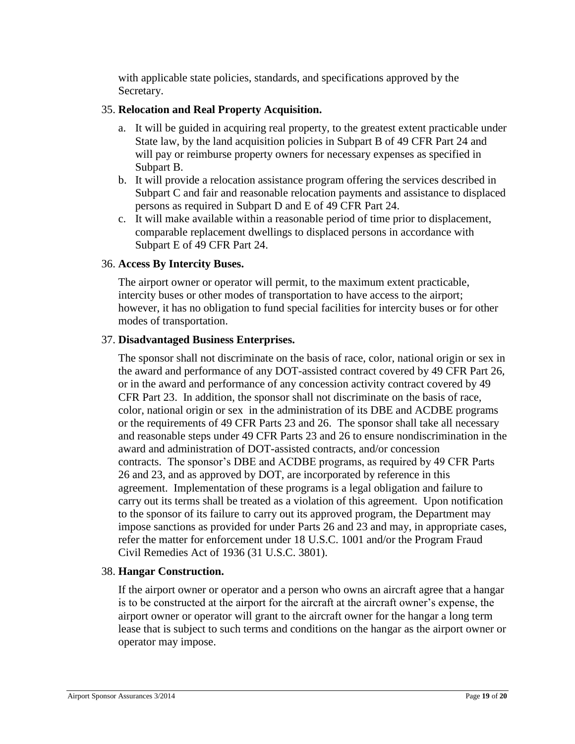with applicable state policies, standards, and specifications approved by the Secretary.

# 35. **Relocation and Real Property Acquisition.**

- a. It will be guided in acquiring real property, to the greatest extent practicable under State law, by the land acquisition policies in Subpart B of 49 CFR Part 24 and will pay or reimburse property owners for necessary expenses as specified in Subpart B.
- b. It will provide a relocation assistance program offering the services described in Subpart C and fair and reasonable relocation payments and assistance to displaced persons as required in Subpart D and E of 49 CFR Part 24.
- c. It will make available within a reasonable period of time prior to displacement, comparable replacement dwellings to displaced persons in accordance with Subpart E of 49 CFR Part 24.

# 36. **Access By Intercity Buses.**

The airport owner or operator will permit, to the maximum extent practicable, intercity buses or other modes of transportation to have access to the airport; however, it has no obligation to fund special facilities for intercity buses or for other modes of transportation.

### 37. **Disadvantaged Business Enterprises.**

The sponsor shall not discriminate on the basis of race, color, national origin or sex in the award and performance of any DOT-assisted contract covered by 49 CFR Part 26, or in the award and performance of any concession activity contract covered by 49 CFR Part 23. In addition, the sponsor shall not discriminate on the basis of race, color, national origin or sex in the administration of its DBE and ACDBE programs or the requirements of 49 CFR Parts 23 and 26. The sponsor shall take all necessary and reasonable steps under 49 CFR Parts 23 and 26 to ensure nondiscrimination in the award and administration of DOT-assisted contracts, and/or concession contracts. The sponsor's DBE and ACDBE programs, as required by 49 CFR Parts 26 and 23, and as approved by DOT, are incorporated by reference in this agreement. Implementation of these programs is a legal obligation and failure to carry out its terms shall be treated as a violation of this agreement. Upon notification to the sponsor of its failure to carry out its approved program, the Department may impose sanctions as provided for under Parts 26 and 23 and may, in appropriate cases, refer the matter for enforcement under 18 U.S.C. 1001 and/or the Program Fraud Civil Remedies Act of 1936 (31 U.S.C. 3801).

### 38. **Hangar Construction.**

If the airport owner or operator and a person who owns an aircraft agree that a hangar is to be constructed at the airport for the aircraft at the aircraft owner's expense, the airport owner or operator will grant to the aircraft owner for the hangar a long term lease that is subject to such terms and conditions on the hangar as the airport owner or operator may impose.